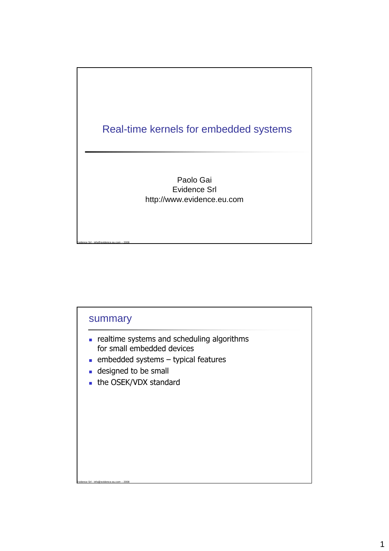

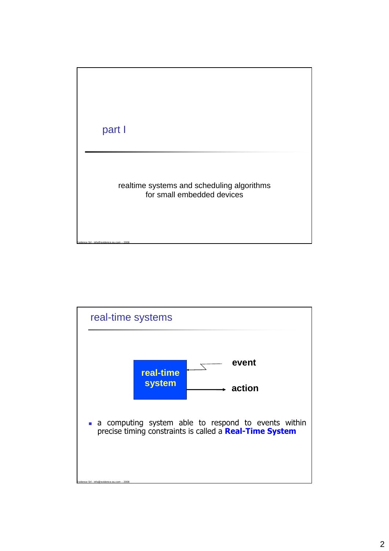

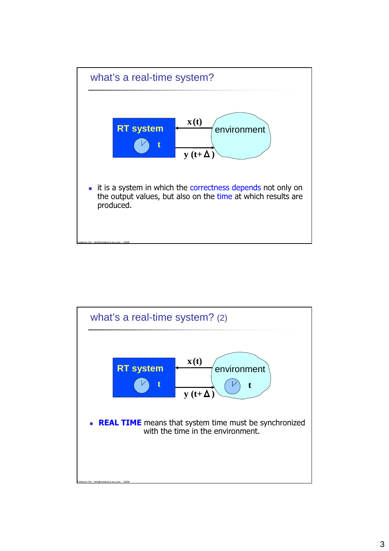

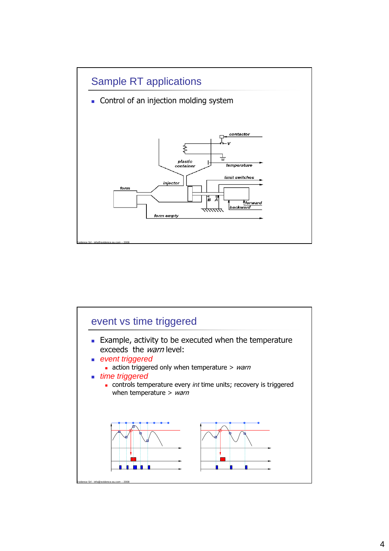

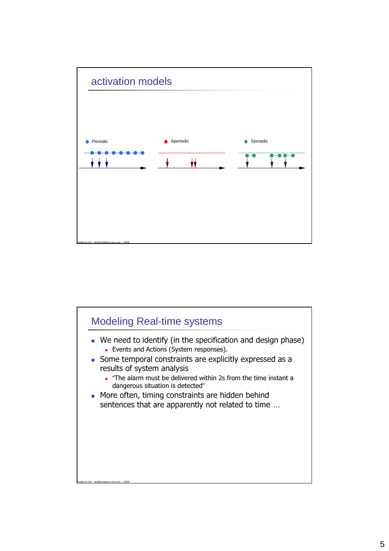

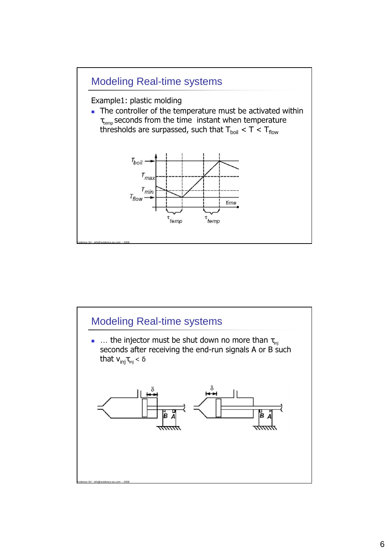

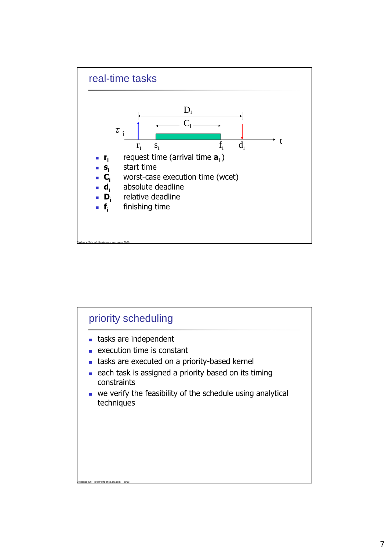

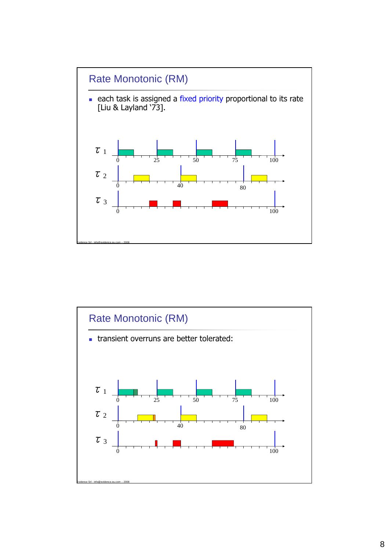

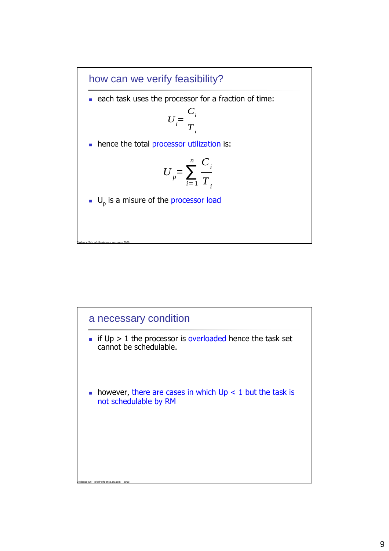how can we verify feasibility?

each task uses the processor for a fraction of time:

$$
U_i = \frac{C_i}{T_i}
$$

hence the total processor utilization is:

$$
U_p = \sum_{i=1}^n \frac{C_i}{T_i}
$$

 $\blacksquare$  U<sub>p</sub> is a misure of the processor load

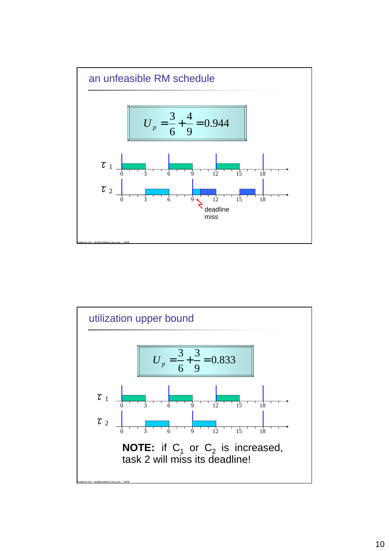

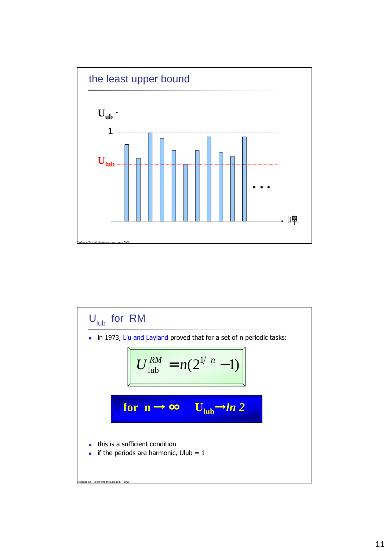

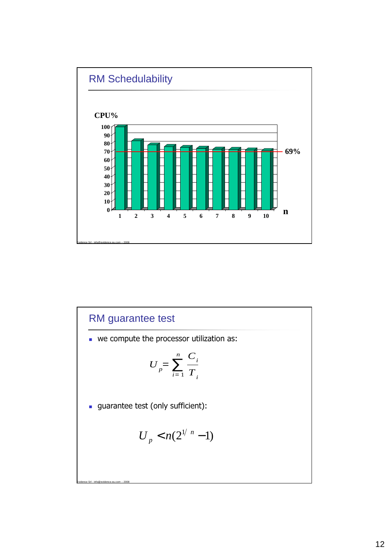

RM guarantee test we compute the processor utilization as: **guarantee test (only sufficient):**  $U_p = \sum$  $\overline{i}$  = 1  $\frac{n}{\cdot}$   $C_i$ *Ti*  $U_p < n(2^{1/n}-1)$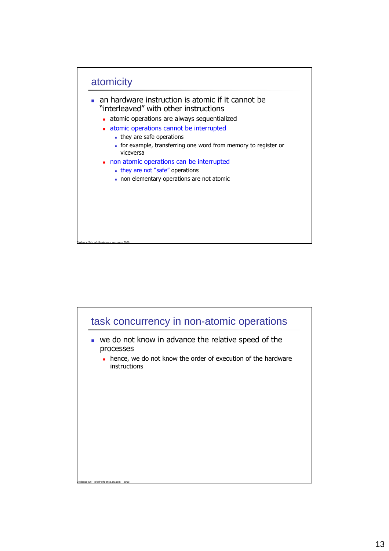

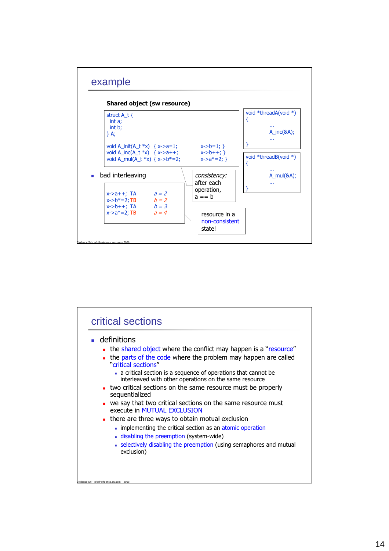

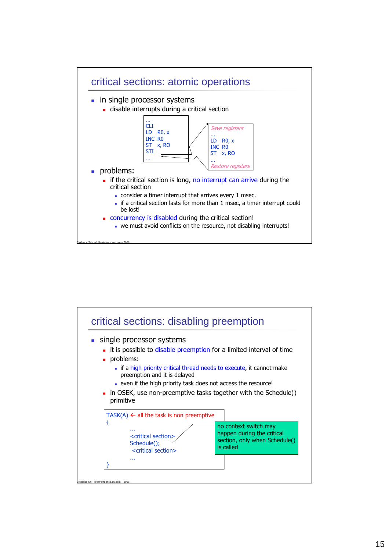

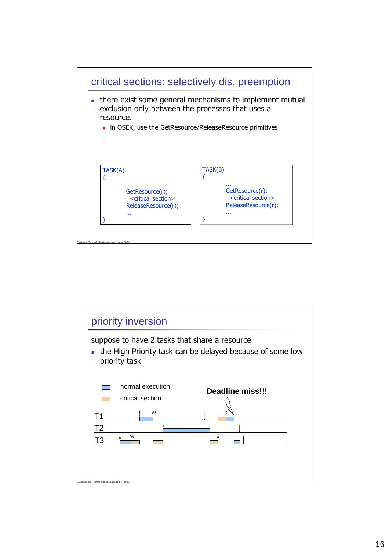

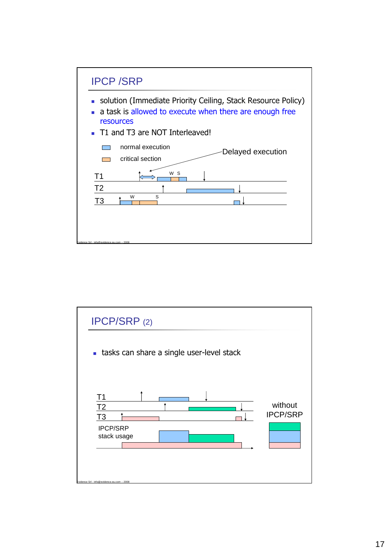

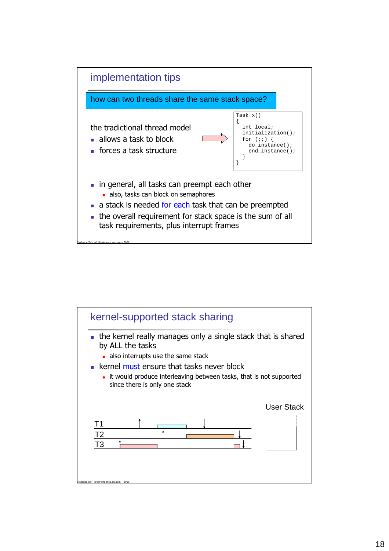

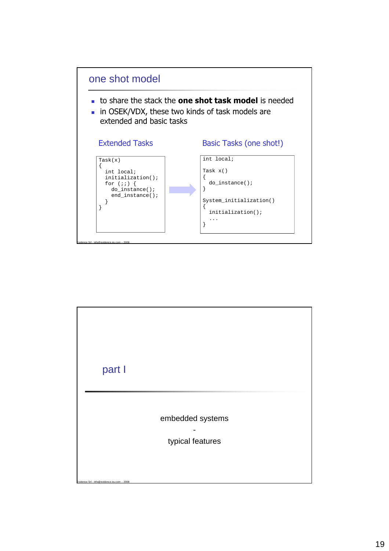

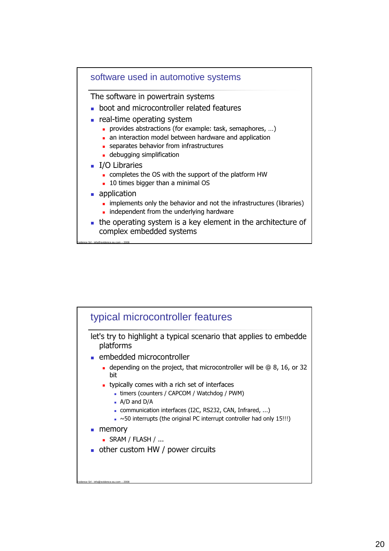#### software used in automotive systems

The software in powertrain systems

- **boot and microcontroller related features**
- **real-time operating system** 
	- **provides abstractions (for example: task, semaphores, ...)**
	- an interaction model between hardware and application
	- separates behavior from infrastructures
	- **debugging simplification**
- **I/O Libraries** 
	- completes the OS with the support of the platform HW
	- **10 times bigger than a minimal OS**
- **application**

- **implements only the behavior and not the infrastructures (libraries)**
- $\blacksquare$  independent from the underlying hardware
- the operating system is a key element in the architecture of complex embedded systems

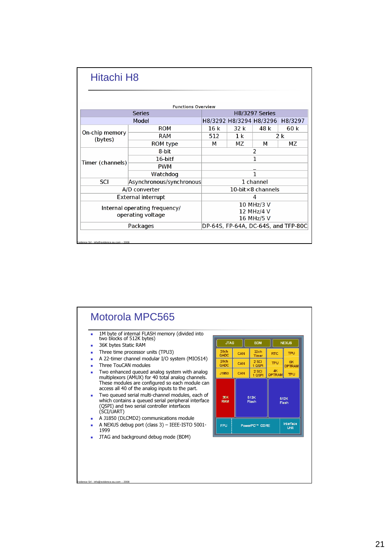| <b>Hitachi H8</b>                          |                               |     |                |                               |                                     |
|--------------------------------------------|-------------------------------|-----|----------------|-------------------------------|-------------------------------------|
|                                            | <b>Functions Overview</b>     |     |                |                               |                                     |
|                                            | <b>Series</b>                 |     |                | <b>H8/3297 Series</b>         |                                     |
|                                            | Model                         |     |                | H8/3292 H8/3294 H8/3296       | H8/3297                             |
|                                            | <b>ROM</b>                    | 16k | 32 k           | 48 k                          | 60 k                                |
| On-chip memory<br>(bytes)                  | RAM                           | 512 | 1 <sup>k</sup> |                               | 2k                                  |
|                                            | ROM type                      | м   | MΖ             | М                             | <b>MZ</b>                           |
|                                            | 8-bit                         |     |                | $\overline{2}$                |                                     |
|                                            | 16-bitf                       | 1   |                |                               |                                     |
| Timer (channels)                           | <b>PWM</b>                    |     |                |                               |                                     |
|                                            | Watchdog                      | 1   |                |                               |                                     |
| <b>SCI</b>                                 | Asynchronous/synchronous      |     |                | 1 channel                     |                                     |
|                                            | A/D converter                 |     |                | $10$ -bit $\times 8$ channels |                                     |
|                                            | <b>External interrupt</b>     |     |                | 4                             |                                     |
|                                            | Internal operating frequency/ |     |                | 10 MHz/3 V                    |                                     |
|                                            | operating voltage             |     |                | 12 MHz/4 V                    |                                     |
|                                            |                               |     |                | 16 MHz/5 V                    |                                     |
|                                            | Packages                      |     |                |                               | DP-64S, FP-64A, DC-64S, and TFP-80C |
| Evidence Srl - info@evidence.eu.com - 2008 |                               |     |                |                               |                                     |

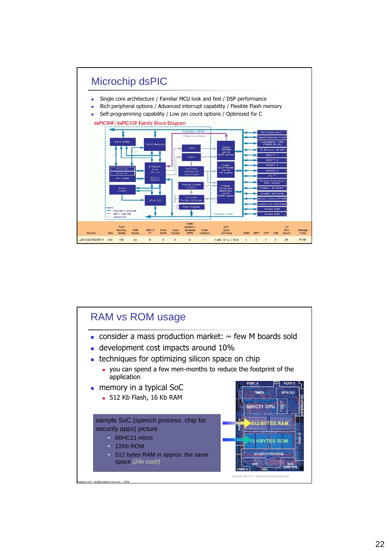

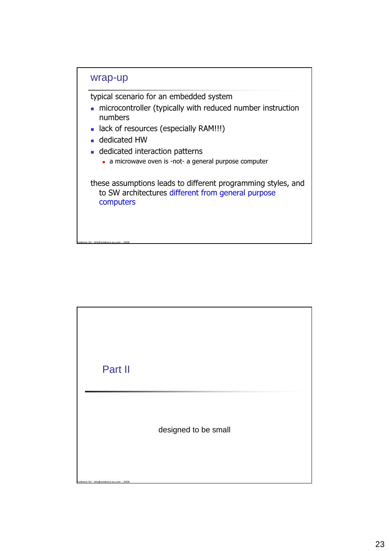

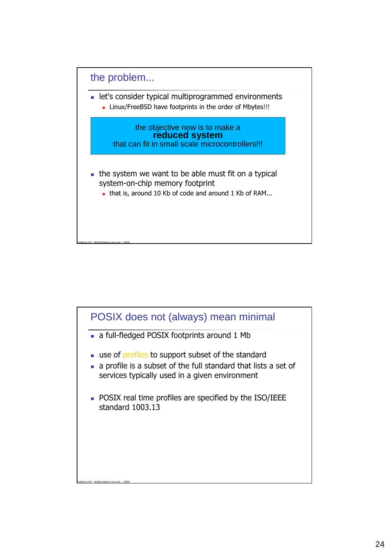

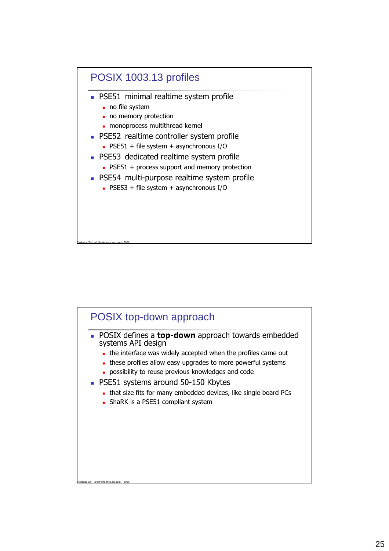

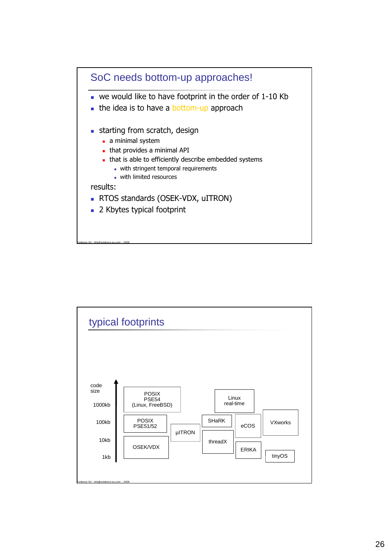

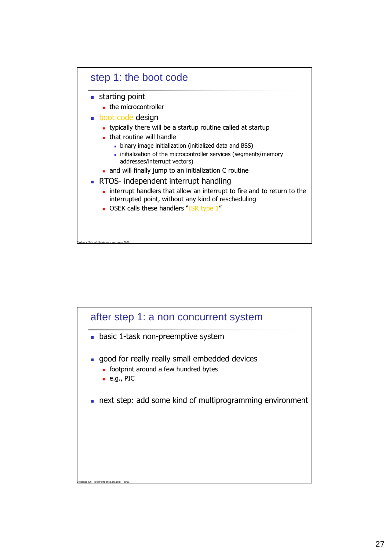

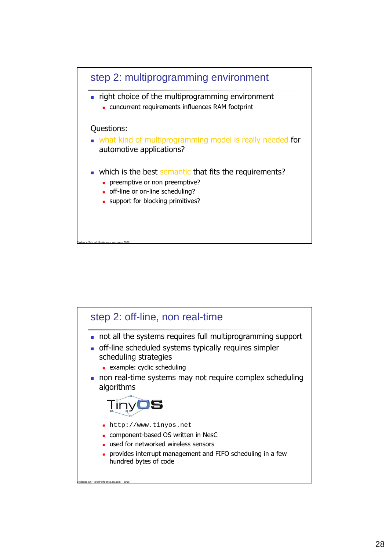

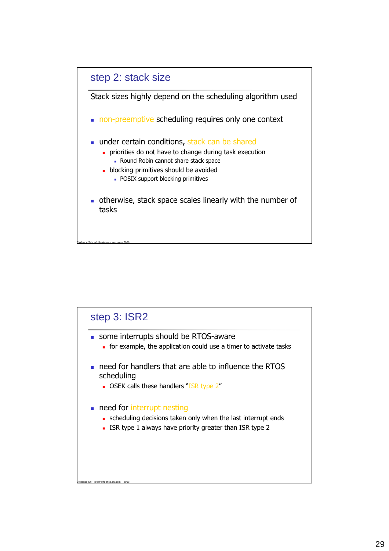

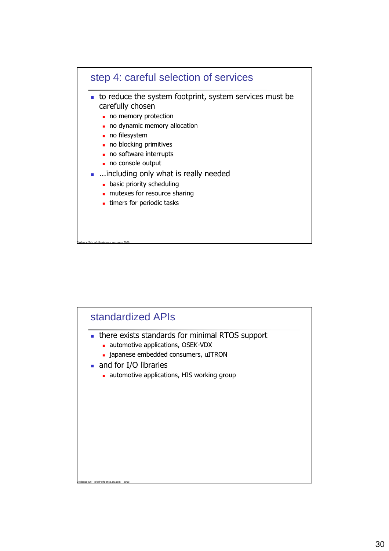

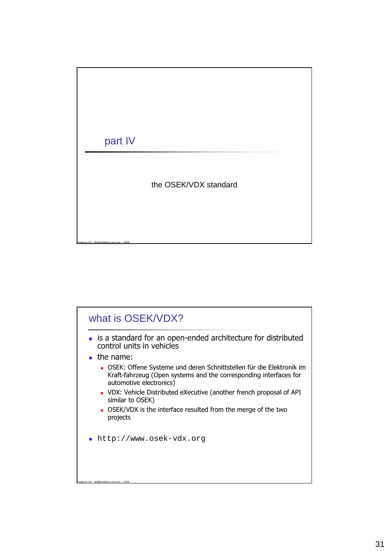

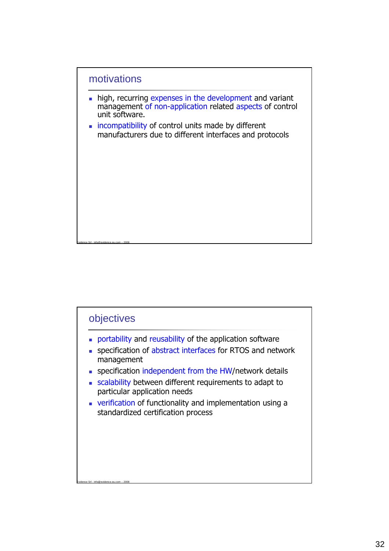

- high, recurring expenses in the development and variant management of non-application related aspects of control unit software.
- **incompatibility of control units made by different** manufacturers due to different interfaces and protocols

# objectives

Evidence Srl - info@evidence.eu.com – 2008

- **portability and reusability of the application software**
- **specification of abstract interfaces for RTOS and network** management
- **specification independent from the HW/network details**
- scalability between different requirements to adapt to particular application needs
- verification of functionality and implementation using a standardized certification process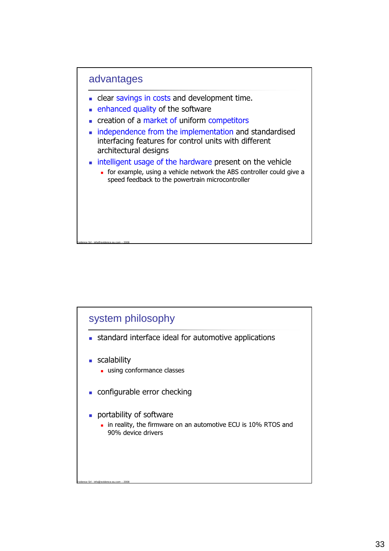

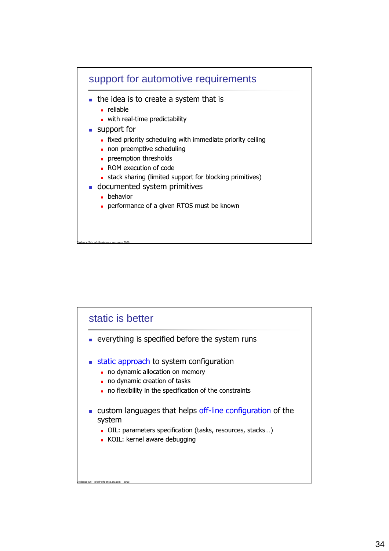

## static is better

- everything is specified before the system runs
- **static approach to system configuration** 
	- no dynamic allocation on memory
	- no dynamic creation of tasks
	- no flexibility in the specification of the constraints
- custom languages that helps off-line configuration of the system
	- OIL: parameters specification (tasks, resources, stacks…)
	- KOIL: kernel aware debugging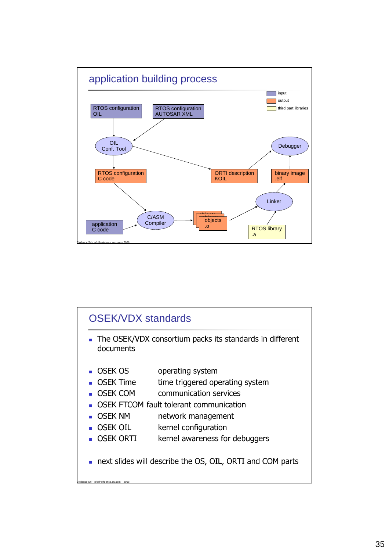

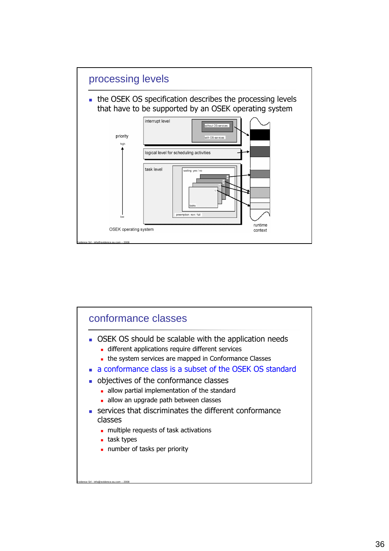

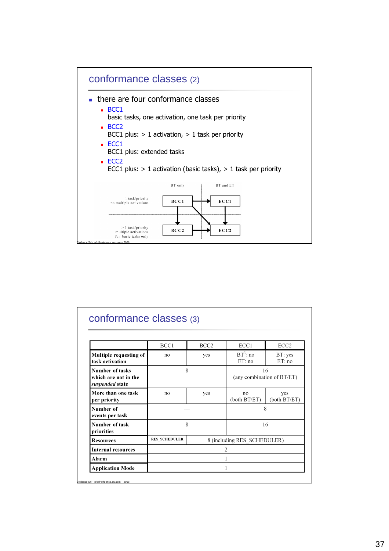

|                                                                   | BCC1                 | BCC <sub>2</sub> | ECC1                        | ECC <sub>2</sub>                 |
|-------------------------------------------------------------------|----------------------|------------------|-----------------------------|----------------------------------|
| Multiple requesting of<br>task activation                         | no                   | yes              | $BT^3$ : no<br>ET:no        | BT: yes<br>ET:no                 |
| <b>Number of tasks</b><br>which are not in the<br>suspended state | 8                    |                  |                             | 16<br>(any combination of BT/ET) |
| More than one task<br>per priority                                | no                   | yes              | no<br>(both BT/ET)          | yes<br>(both BT/ET)              |
| Number of<br>events per task                                      |                      |                  |                             | 8                                |
| Number of task<br>priorities                                      | 8                    |                  |                             | 16                               |
| <b>Resources</b>                                                  | <b>RES SCHEDULER</b> |                  | 8 (including RES SCHEDULER) |                                  |
| <b>Internal resources</b>                                         |                      |                  | 2                           |                                  |
| Alarm                                                             |                      |                  |                             |                                  |
| <b>Application Mode</b>                                           |                      |                  |                             |                                  |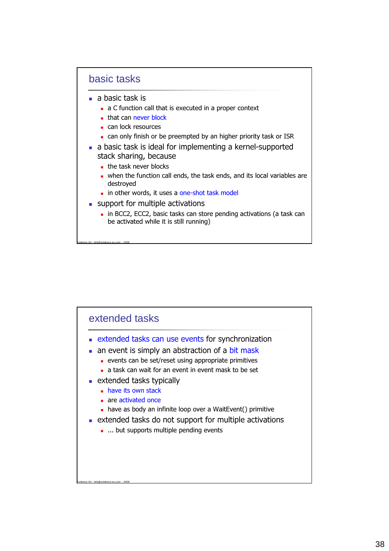### basic tasks

 $\blacksquare$  a basic task is

Evidence Srl - info@evidence.eu.com – 2008

- a C function call that is executed in a proper context
- that can never block
- can lock resources
- can only finish or be preempted by an higher priority task or ISR
- a basic task is ideal for implementing a kernel-supported stack sharing, because
	- the task never blocks
	- when the function call ends, the task ends, and its local variables are destroyed
	- in other words, it uses a one-shot task model
- support for multiple activations
	- **in BCC2, ECC2, basic tasks can store pending activations (a task can** be activated while it is still running)

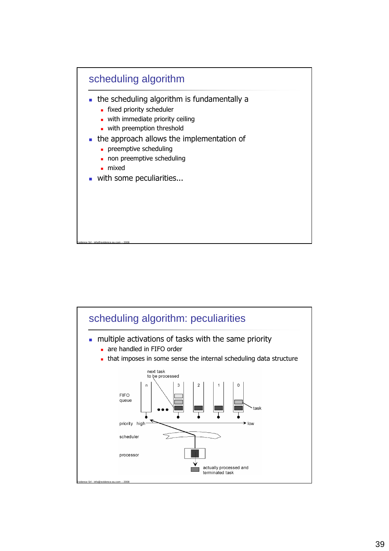

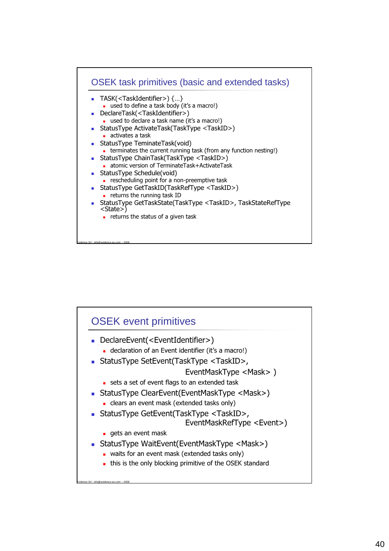

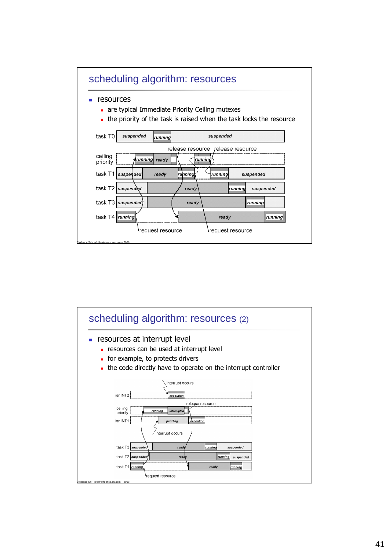

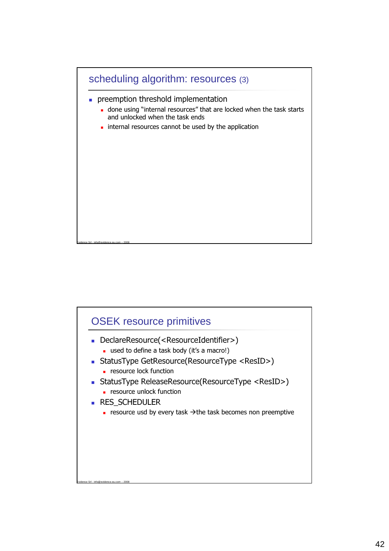

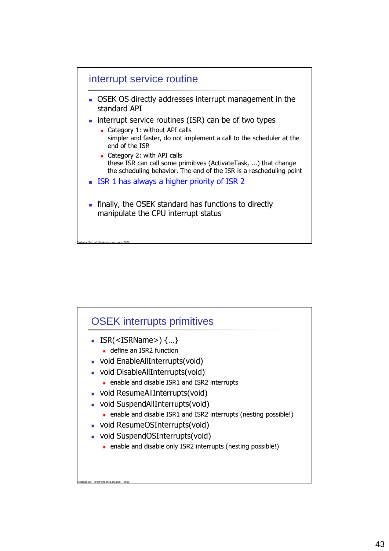

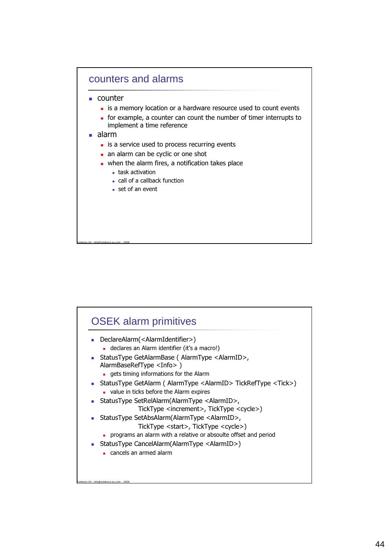

| ٠ | DeclareAlarm( <alarmidentifier>)</alarmidentifier>                                                                           |
|---|------------------------------------------------------------------------------------------------------------------------------|
|   | declares an Alarm identifier (it's a macro!)                                                                                 |
|   | ■ StatusType GetAlarmBase ( AlarmType <alarmid>,<br/>AlarmBaseRefType <info>)</info></alarmid>                               |
|   | gets timing informations for the Alarm                                                                                       |
|   | • StatusType GetAlarm ( AlarmType <alarmid> TickRefType <tick>)<br/>value in ticks before the Alarm expires</tick></alarmid> |
|   | StatusType SetRelAlarm(AlarmType <alarmid>,<br/>TickType <increment>, TickType <cycle>)</cycle></increment></alarmid>        |
| ٠ | StatusType SetAbsAlarm(AlarmType <alarmid>,</alarmid>                                                                        |
|   | TickType <start>, TickType <cycle>)</cycle></start>                                                                          |
|   | programs an alarm with a relative or absoulte offset and period                                                              |
|   | StatusType CancelAlarm(AlarmType <alarmid>)</alarmid>                                                                        |
|   | cancels an armed alarm                                                                                                       |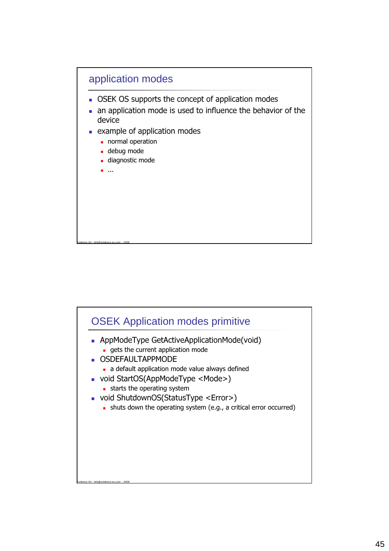

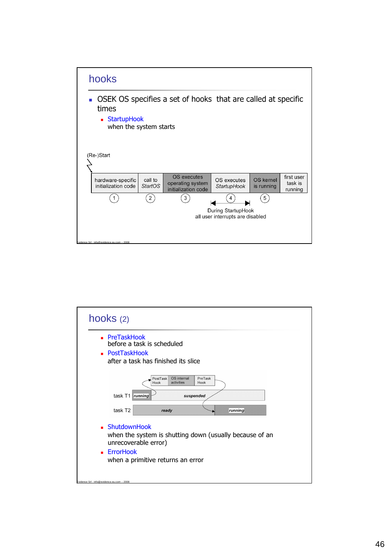

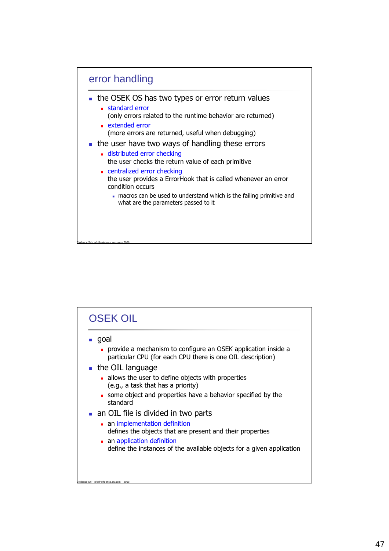

| goal                                                                                                                        |
|-----------------------------------------------------------------------------------------------------------------------------|
| provide a mechanism to configure an OSEK application inside a<br>particular CPU (for each CPU there is one OIL description) |
| $\blacksquare$ the OIL language                                                                                             |
| allows the user to define objects with properties<br>(e.g., a task that has a priority)                                     |
| some object and properties have a behavior specified by the<br>standard                                                     |
| an OIL file is divided in two parts                                                                                         |
| an implementation definition                                                                                                |
| defines the objects that are present and their properties                                                                   |
| an application definition                                                                                                   |
| define the instances of the available objects for a given application                                                       |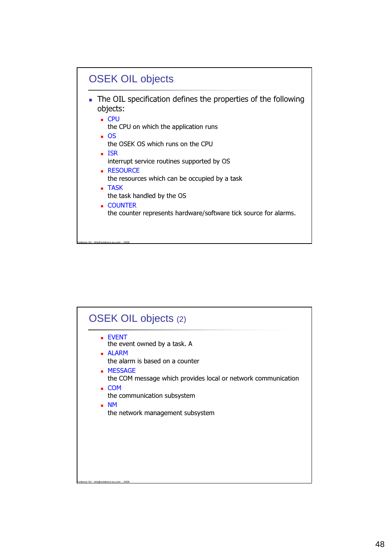

| <b>EVENT</b><br>the event owned by a task. A<br><b>ALARM</b><br>the alarm is based on a counter<br><b>MESSAGE</b><br>the COM message which provides local or network communication<br>$\blacksquare$ COM<br>the communication subsystem |
|-----------------------------------------------------------------------------------------------------------------------------------------------------------------------------------------------------------------------------------------|
| $\blacksquare$ NM<br>the network management subsystem                                                                                                                                                                                   |